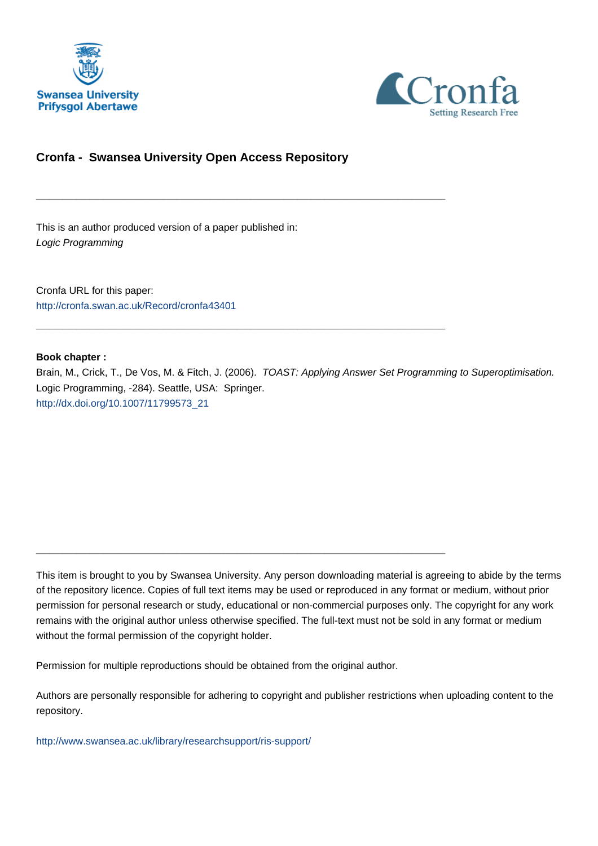



# **Cronfa - Swansea University Open Access Repository**

\_\_\_\_\_\_\_\_\_\_\_\_\_\_\_\_\_\_\_\_\_\_\_\_\_\_\_\_\_\_\_\_\_\_\_\_\_\_\_\_\_\_\_\_\_\_\_\_\_\_\_\_\_\_\_\_\_\_\_\_\_

\_\_\_\_\_\_\_\_\_\_\_\_\_\_\_\_\_\_\_\_\_\_\_\_\_\_\_\_\_\_\_\_\_\_\_\_\_\_\_\_\_\_\_\_\_\_\_\_\_\_\_\_\_\_\_\_\_\_\_\_\_

\_\_\_\_\_\_\_\_\_\_\_\_\_\_\_\_\_\_\_\_\_\_\_\_\_\_\_\_\_\_\_\_\_\_\_\_\_\_\_\_\_\_\_\_\_\_\_\_\_\_\_\_\_\_\_\_\_\_\_\_\_

This is an author produced version of a paper published in: Logic Programming

Cronfa URL for this paper: <http://cronfa.swan.ac.uk/Record/cronfa43401>

# **Book chapter :**

Brain, M., Crick, T., De Vos, M. & Fitch, J. (2006). TOAST: Applying Answer Set Programming to Superoptimisation. Logic Programming, -284). Seattle, USA: Springer. [http://dx.doi.org/10.1007/11799573\\_21](http://dx.doi.org/10.1007/11799573_21)

This item is brought to you by Swansea University. Any person downloading material is agreeing to abide by the terms of the repository licence. Copies of full text items may be used or reproduced in any format or medium, without prior permission for personal research or study, educational or non-commercial purposes only. The copyright for any work remains with the original author unless otherwise specified. The full-text must not be sold in any format or medium without the formal permission of the copyright holder.

Permission for multiple reproductions should be obtained from the original author.

Authors are personally responsible for adhering to copyright and publisher restrictions when uploading content to the repository.

[http://www.swansea.ac.uk/library/researchsupport/ris-support/](http://www.swansea.ac.uk/library/researchsupport/ris-support/ )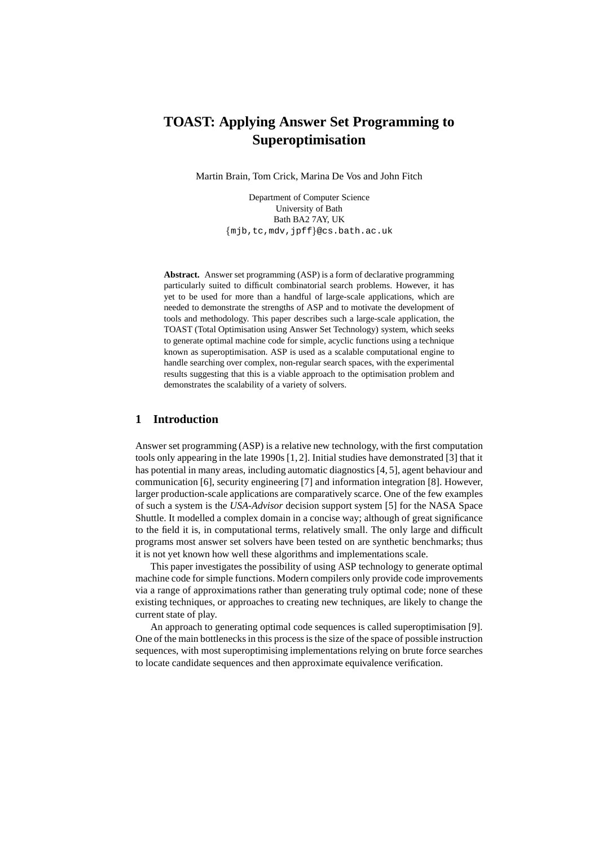# **TOAST: Applying Answer Set Programming to Superoptimisation**

Martin Brain, Tom Crick, Marina De Vos and John Fitch

Department of Computer Science University of Bath Bath BA2 7AY, UK mjb,tc,mdv,jpff @cs.bath.ac.uk

**Abstract.** Answer set programming (ASP) is a form of declarative programming particularly suited to difficult combinatorial search problems. However, it has yet to be used for more than a handful of large-scale applications, which are needed to demonstrate the strengths of ASP and to motivate the development of tools and methodology. This paper describes such a large-scale application, the TOAST (Total Optimisation using Answer Set Technology) system, which seeks to generate optimal machine code for simple, acyclic functions using a technique known as superoptimisation. ASP is used as a scalable computational engine to handle searching over complex, non-regular search spaces, with the experimental results suggesting that this is a viable approach to the optimisation problem and demonstrates the scalability of a variety of solvers.

## **1 Introduction**

Answer set programming (ASP) is a relative new technology, with the first computation tools only appearing in the late 1990s [1, 2]. Initial studies have demonstrated [3] that it has potential in many areas, including automatic diagnostics [4, 5], agent behaviour and communication [6], security engineering [7] and information integration [8]. However, larger production-scale applications are comparatively scarce. One of the few examples of such a system is the *USA-Advisor* decision support system [5] for the NASA Space Shuttle. It modelled a complex domain in a concise way; although of great significance to the field it is, in computational terms, relatively small. The only large and difficult programs most answer set solvers have been tested on are synthetic benchmarks; thus it is not yet known how well these algorithms and implementations scale.

This paper investigates the possibility of using ASP technology to generate optimal machine code for simple functions. Modern compilers only provide code improvements via a range of approximations rather than generating truly optimal code; none of these existing techniques, or approaches to creating new techniques, are likely to change the current state of play.

An approach to generating optimal code sequences is called superoptimisation [9]. One of the main bottlenecks in this process is the size of the space of possible instruction sequences, with most superoptimising implementations relying on brute force searches to locate candidate sequences and then approximate equivalence verification.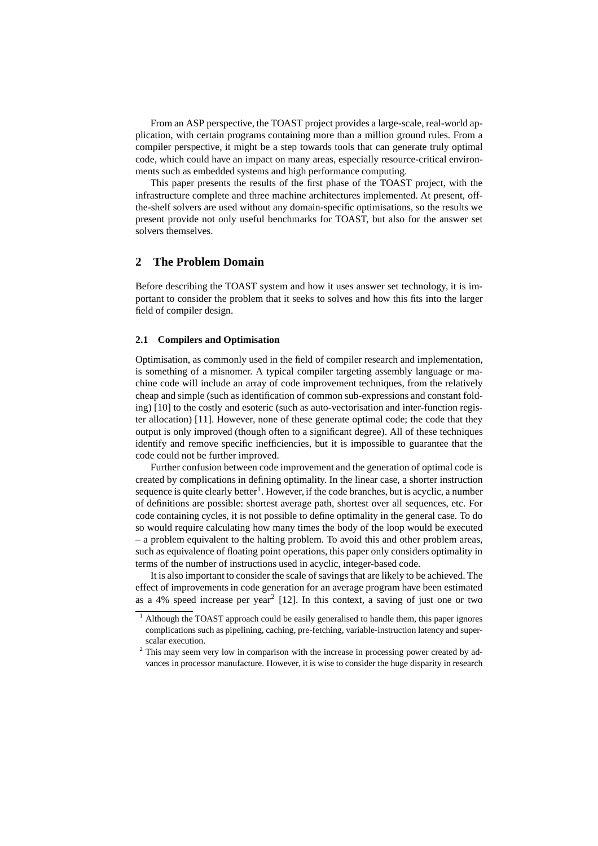From an ASP perspective, the TOAST project provides a large-scale, real-world application, with certain programs containing more than a million ground rules. From a compiler perspective, it might be a step towards tools that can generate truly optimal code, which could have an impact on many areas, especially resource-critical environments such as embedded systems and high performance computing.

This paper presents the results of the first phase of the TOAST project, with the infrastructure complete and three machine architectures implemented. At present, offthe-shelf solvers are used without any domain-specific optimisations, so the results we present provide not only useful benchmarks for TOAST, but also for the answer set solvers themselves.

# **2 The Problem Domain**

Before describing the TOAST system and how it uses answer set technology, it is important to consider the problem that it seeks to solves and how this fits into the larger field of compiler design.

#### **2.1 Compilers and Optimisation**

Optimisation, as commonly used in the field of compiler research and implementation, is something of a misnomer. A typical compiler targeting assembly language or machine code will include an array of code improvement techniques, from the relatively cheap and simple (such as identification of common sub-expressions and constant folding) [10] to the costly and esoteric (such as auto-vectorisation and inter-function register allocation) [11]. However, none of these generate optimal code; the code that they output is only improved (though often to a significant degree). All of these techniques identify and remove specific inefficiencies, but it is impossible to guarantee that the code could not be further improved.

Further confusion between code improvement and the generation of optimal code is created by complications in defining optimality. In the linear case, a shorter instruction sequence is quite clearly better<sup>1</sup>. However, if the code branches, but is acyclic, a number of definitions are possible: shortest average path, shortest over all sequences, etc. For code containing cycles, it is not possible to define optimality in the general case. To do so would require calculating how many times the body of the loop would be executed – a problem equivalent to the halting problem. To avoid this and other problem areas, such as equivalence of floating point operations, this paper only considers optimality in terms of the number of instructions used in acyclic, integer-based code.

It is also important to consider the scale of savings that are likely to be achieved. The effect of improvements in code generation for an average program have been estimated as a 4% speed increase per year<sup>2</sup> [12]. In this context, a saving of just one or two

<sup>&</sup>lt;sup>1</sup> Although the TOAST approach could be easily generalised to handle them, this paper ignores complications such as pipelining, caching, pre-fetching, variable-instruction latency and superscalar execution.

<sup>&</sup>lt;sup>2</sup> This may seem very low in comparison with the increase in processing power created by advances in processor manufacture. However, it is wise to consider the huge disparity in research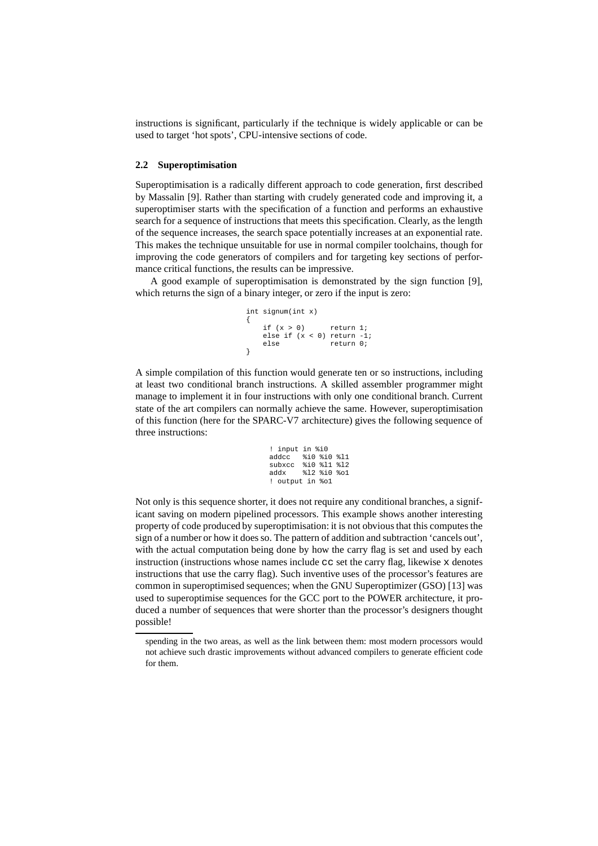instructions is significant, particularly if the technique is widely applicable or can be used to target 'hot spots', CPU-intensive sections of code.

#### **2.2 Superoptimisation**

Superoptimisation is a radically different approach to code generation, first described by Massalin [9]. Rather than starting with crudely generated code and improving it, a superoptimiser starts with the specification of a function and performs an exhaustive search for a sequence of instructions that meets this specification. Clearly, as the length of the sequence increases, the search space potentially increases at an exponential rate. This makes the technique unsuitable for use in normal compiler toolchains, though for improving the code generators of compilers and for targeting key sections of performance critical functions, the results can be impressive.

A good example of superoptimisation is demonstrated by the sign function [9], which returns the sign of a binary integer, or zero if the input is zero:

```
int signum(int x)
{
   if (x > 0) return 1;
   else if (x < 0) return -1;
   else return 0;
}
```
A simple compilation of this function would generate ten or so instructions, including at least two conditional branch instructions. A skilled assembler programmer might manage to implement it in four instructions with only one conditional branch. Current state of the art compilers can normally achieve the same. However, superoptimisation of this function (here for the SPARC-V7 architecture) gives the following sequence of three instructions:

```
! input in %i0
addcc %i0 %i0 %l1
subxcc %i0 %l1 %l2
addx %l2 %i0 %o1
! output in %o1
```
Not only is this sequence shorter, it does not require any conditional branches, a significant saving on modern pipelined processors. This example shows another interesting property of code produced by superoptimisation: it is not obviousthat this computes the sign of a number or how it does so. The pattern of addition and subtraction 'cancels out', with the actual computation being done by how the carry flag is set and used by each instruction (instructions whose names include cc set the carry flag, likewise x denotes instructions that use the carry flag). Such inventive uses of the processor's features are common in superoptimised sequences; when the GNU Superoptimizer (GSO) [13] was used to superoptimise sequences for the GCC port to the POWER architecture, it produced a number of sequences that were shorter than the processor's designers thought possible!

spending in the two areas, as well as the link between them: most modern processors would not achieve such drastic improvements without advanced compilers to generate efficient code for them.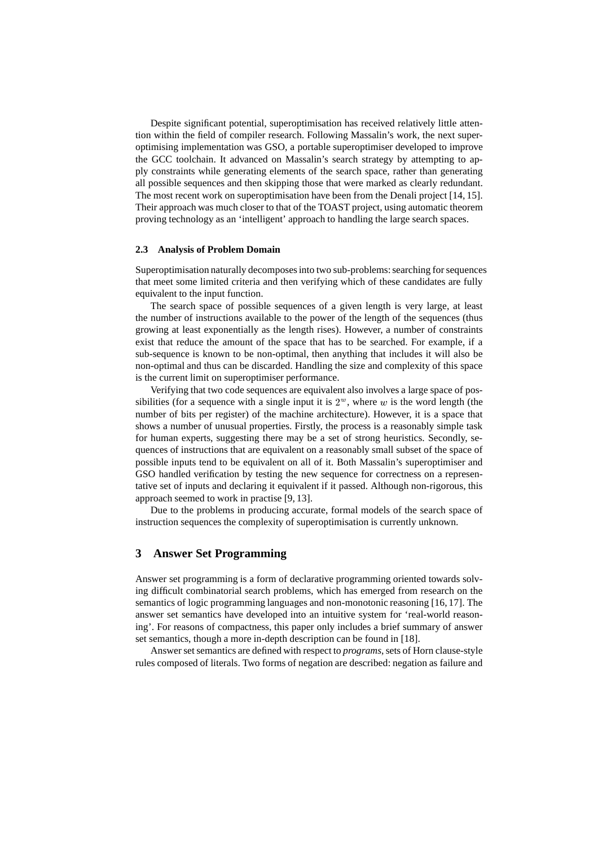Despite significant potential, superoptimisation has received relatively little attention within the field of compiler research. Following Massalin's work, the next superoptimising implementation was GSO, a portable superoptimiser developed to improve the GCC toolchain. It advanced on Massalin's search strategy by attempting to apply constraints while generating elements of the search space, rather than generating all possible sequences and then skipping those that were marked as clearly redundant. The most recent work on superoptimisation have been from the Denali project [14, 15]. Their approach was much closer to that of the TOAST project, using automatic theorem proving technology as an 'intelligent' approach to handling the large search spaces.

#### **2.3 Analysis of Problem Domain**

Superoptimisation naturally decomposes into two sub-problems: searching for sequences that meet some limited criteria and then verifying which of these candidates are fully equivalent to the input function.

The search space of possible sequences of a given length is very large, at least the number of instructions available to the power of the length of the sequences (thus growing at least exponentially as the length rises). However, a number of constraints exist that reduce the amount of the space that has to be searched. For example, if a sub-sequence is known to be non-optimal, then anything that includes it will also be non-optimal and thus can be discarded. Handling the size and complexity of this space is the current limit on superoptimiser performance.

Verifying that two code sequences are equivalent also involves a large space of possibilities (for a sequence with a single input it is  $2<sup>w</sup>$ , where w is the word length (the number of bits per register) of the machine architecture). However, it is a space that shows a number of unusual properties. Firstly, the process is a reasonably simple task for human experts, suggesting there may be a set of strong heuristics. Secondly, sequences of instructions that are equivalent on a reasonably small subset of the space of possible inputs tend to be equivalent on all of it. Both Massalin's superoptimiser and GSO handled verification by testing the new sequence for correctness on a representative set of inputs and declaring it equivalent if it passed. Although non-rigorous, this approach seemed to work in practise [9, 13].

Due to the problems in producing accurate, formal models of the search space of instruction sequences the complexity of superoptimisation is currently unknown.

# **3 Answer Set Programming**

Answer set programming is a form of declarative programming oriented towards solving difficult combinatorial search problems, which has emerged from research on the semantics of logic programming languages and non-monotonic reasoning [16, 17]. The answer set semantics have developed into an intuitive system for 'real-world reasoning'. For reasons of compactness, this paper only includes a brief summary of answer set semantics, though a more in-depth description can be found in [18].

Answer set semantics are defined with respect to *programs*, sets of Horn clause-style rules composed of literals. Two forms of negation are described: negation as failure and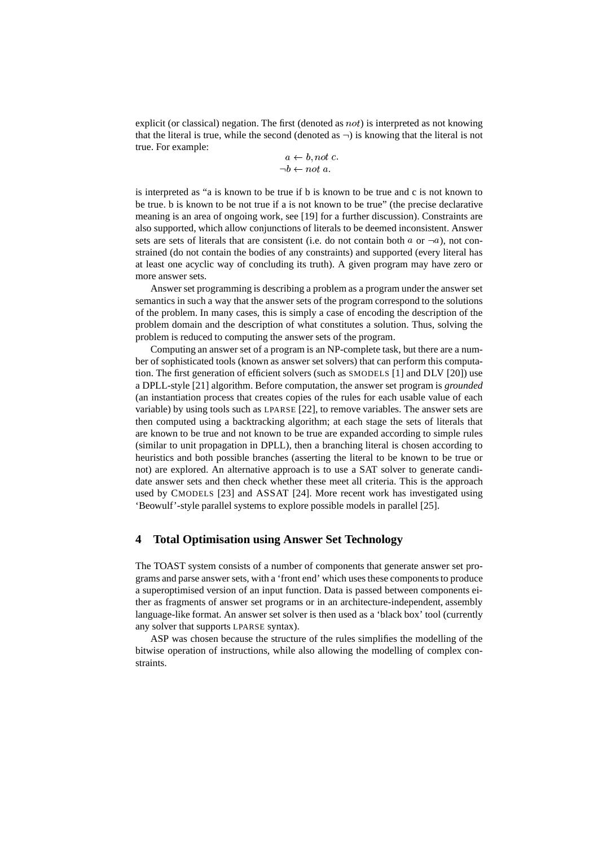explicit (or classical) negation. The first (denoted as  $not$ ) is interpreted as not knowing that the literal is true, while the second (denoted as  $\neg$ ) is knowing that the literal is not true. For example: 

$$
a \leftarrow b, not c.
$$
  

$$
\neg b \leftarrow not a.
$$

is interpreted as "a is known to be true if b is known to be true and c is not known to be true. b is known to be not true if a is not known to be true" (the precise declarative meaning is an area of ongoing work, see [19] for a further discussion). Constraints are also supported, which allow conjunctions of literals to be deemed inconsistent. Answer sets are sets of literals that are consistent (i.e. do not contain both  $a$  or  $\neg a$ ), not constrained (do not contain the bodies of any constraints) and supported (every literal has at least one acyclic way of concluding its truth). A given program may have zero or more answer sets.

Answer set programming is describing a problem as a program under the answer set semantics in such a way that the answer sets of the program correspond to the solutions of the problem. In many cases, this is simply a case of encoding the description of the problem domain and the description of what constitutes a solution. Thus, solving the problem is reduced to computing the answer sets of the program.

Computing an answer set of a program is an NP-complete task, but there are a number of sophisticated tools (known as answer set solvers) that can perform this computation. The first generation of efficient solvers (such as SMODELS [1] and DLV [20]) use a DPLL-style [21] algorithm. Before computation, the answer set program is *grounded* (an instantiation process that creates copies of the rules for each usable value of each variable) by using tools such as LPARSE [22], to remove variables. The answer sets are then computed using a backtracking algorithm; at each stage the sets of literals that are known to be true and not known to be true are expanded according to simple rules (similar to unit propagation in DPLL), then a branching literal is chosen according to heuristics and both possible branches (asserting the literal to be known to be true or not) are explored. An alternative approach is to use a SAT solver to generate candidate answer sets and then check whether these meet all criteria. This is the approach used by CMODELS [23] and ASSAT [24]. More recent work has investigated using 'Beowulf'-style parallel systems to explore possible models in parallel [25].

## **4 Total Optimisation using Answer Set Technology**

The TOAST system consists of a number of components that generate answer set programs and parse answer sets, with a 'front end' which uses these componentsto produce a superoptimised version of an input function. Data is passed between components either as fragments of answer set programs or in an architecture-independent, assembly language-like format. An answer set solver is then used as a 'black box' tool (currently any solver that supports LPARSE syntax).

ASP was chosen because the structure of the rules simplifies the modelling of the bitwise operation of instructions, while also allowing the modelling of complex constraints.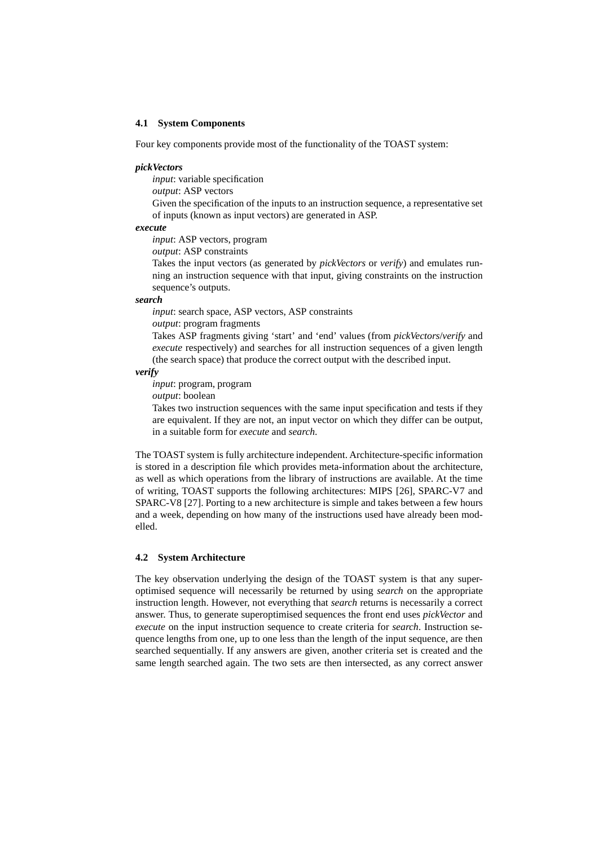#### **4.1 System Components**

Four key components provide most of the functionality of the TOAST system:

#### *pickVectors*

*input*: variable specification

*output*: ASP vectors

Given the specification of the inputs to an instruction sequence, a representative set of inputs (known as input vectors) are generated in ASP.

#### *execute*

*input*: ASP vectors, program

*output*: ASP constraints

Takes the input vectors (as generated by *pickVectors* or *verify*) and emulates running an instruction sequence with that input, giving constraints on the instruction sequence's outputs.

### *search*

*input*: search space, ASP vectors, ASP constraints

*output*: program fragments

Takes ASP fragments giving 'start' and 'end' values (from *pickVectors*/*verify* and *execute* respectively) and searches for all instruction sequences of a given length (the search space) that produce the correct output with the described input.

#### *verify*

*input*: program, program

*output*: boolean

Takes two instruction sequences with the same input specification and tests if they are equivalent. If they are not, an input vector on which they differ can be output, in a suitable form for *execute* and *search*.

The TOAST system is fully architecture independent. Architecture-specific information is stored in a description file which provides meta-information about the architecture, as well as which operations from the library of instructions are available. At the time of writing, TOAST supports the following architectures: MIPS [26], SPARC-V7 and SPARC-V8 [27]. Porting to a new architecture is simple and takes between a few hours and a week, depending on how many of the instructions used have already been modelled.

### **4.2 System Architecture**

The key observation underlying the design of the TOAST system is that any superoptimised sequence will necessarily be returned by using *search* on the appropriate instruction length. However, not everything that *search* returns is necessarily a correct answer. Thus, to generate superoptimised sequences the front end uses *pickVector* and *execute* on the input instruction sequence to create criteria for *search*. Instruction sequence lengths from one, up to one less than the length of the input sequence, are then searched sequentially. If any answers are given, another criteria set is created and the same length searched again. The two sets are then intersected, as any correct answer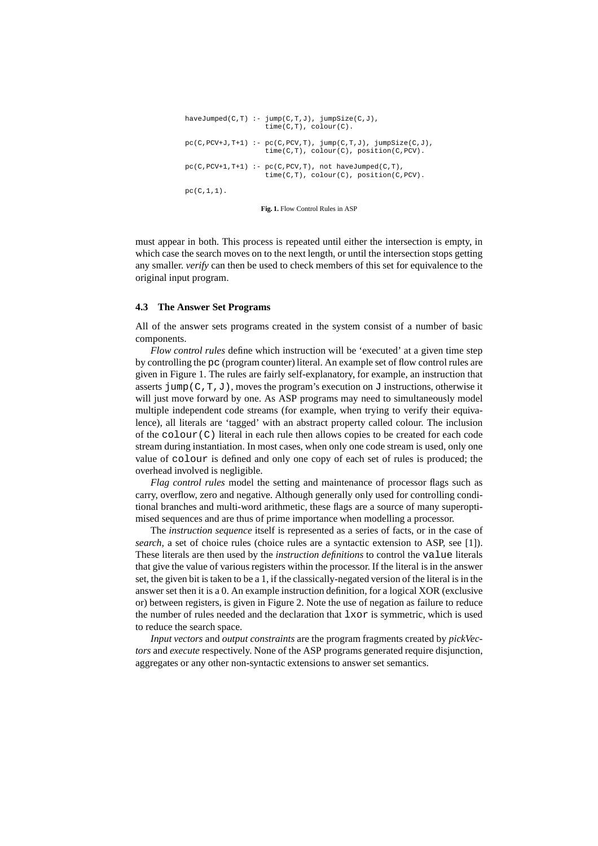```
haveJumped(C, T) :- jump(C, T, J), jumpSize(C, J),
                       time(C,T), colour(C).
pc(C,PCV+J,T+1) :- pc(C,PCV,T), jump(C,T,J), jumpSize(C,J),
time(C,T), colour(C), position(C,PCV).
pc(C,PCV+1,T+1) :- pc(C,PCV,T), not haveJumped(C,T),
                       time(C,T), colour(C), position(C,PCV).
pc(C,1,1).
```
**Fig. 1.** Flow Control Rules in ASP

must appear in both. This process is repeated until either the intersection is empty, in which case the search moves on to the next length, or until the intersection stops getting any smaller. *verify* can then be used to check members of this set for equivalence to the original input program.

#### **4.3 The Answer Set Programs**

All of the answer sets programs created in the system consist of a number of basic components.

*Flow control rules* define which instruction will be 'executed' at a given time step by controlling the pc (program counter) literal. An example set of flow control rules are given in Figure 1. The rules are fairly self-explanatory, for example, an instruction that asserts jump ( $C, T, J$ ), moves the program's execution on J instructions, otherwise it will just move forward by one. As ASP programs may need to simultaneously model multiple independent code streams (for example, when trying to verify their equivalence), all literals are 'tagged' with an abstract property called colour. The inclusion of the colour  $(C)$  literal in each rule then allows copies to be created for each code stream during instantiation. In most cases, when only one code stream is used, only one value of colour is defined and only one copy of each set of rules is produced; the overhead involved is negligible.

*Flag control rules* model the setting and maintenance of processor flags such as carry, overflow, zero and negative. Although generally only used for controlling conditional branches and multi-word arithmetic, these flags are a source of many superoptimised sequences and are thus of prime importance when modelling a processor.

The *instruction sequence* itself is represented as a series of facts, or in the case of *search*, a set of choice rules (choice rules are a syntactic extension to ASP, see [1]). These literals are then used by the *instruction definitions* to control the value literals that give the value of various registers within the processor. If the literal is in the answer set, the given bit is taken to be a 1, if the classically-negated version of the literal is in the answer set then it is a 0. An example instruction definition, for a logical XOR (exclusive or) between registers, is given in Figure 2. Note the use of negation as failure to reduce the number of rules needed and the declaration that  $l \times \sigma r$  is symmetric, which is used to reduce the search space.

*Input vectors* and *output constraints* are the program fragments created by *pickVectors* and *execute* respectively. None of the ASP programs generated require disjunction, aggregates or any other non-syntactic extensions to answer set semantics.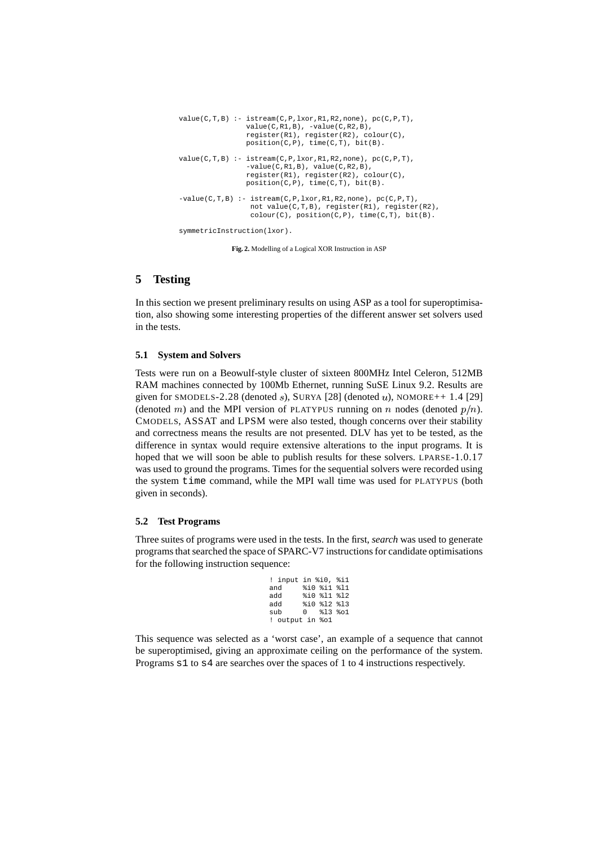```
value(C,T,B) :- istream(C,P,lxor,R1,R2,none), pc(C,P,T),
                value(C,R1,B), -value(C,R2,B)
                register(R1), register(R2), colour(C),
                position(C,P), time(C,T), bit(B).
value(C,T,B) :- istream(C,P,lkor,R1,R2,none), pc(C,P,T),-value(C,R1,B), value(C,R2,B),
                register(R1), register(R2), colour(C),
                position(C,P), time(C,T), bit(B).
-value(C,T,B) :- istream(C,P,lxor,R1,R2,none), pc(C,P,T),not value(C,T,B), register(R1), register(R2),
                 colour(C), position(C,P), time(C,T), bit(B).
symmetricInstruction(lxor).
```
**Fig. 2.** Modelling of a Logical XOR Instruction in ASP

# **5 Testing**

In this section we present preliminary results on using ASP as a tool for superoptimisation, also showing some interesting properties of the different answer set solvers used in the tests.

# **5.1 System and Solvers**

Tests were run on a Beowulf-style cluster of sixteen 800MHz Intel Celeron, 512MB RAM machines connected by 100Mb Ethernet, running SuSE Linux 9.2. Results are given for SMODELS-2.28 (denoted s), SURYA [28] (denoted u), NOMORE++ 1.4 [29] (denoted  $m$ ) and the MPI version of PLATYPUS running on  $n$  nodes (denoted  $p/n$ ). CMODELS, ASSAT and LPSM were also tested, though concerns over their stability and correctness means the results are not presented. DLV has yet to be tested, as the difference in syntax would require extensive alterations to the input programs. It is hoped that we will soon be able to publish results for these solvers. LPARSE-1.0.17 was used to ground the programs. Times for the sequential solvers were recorded using the system time command, while the MPI wall time was used for PLATYPUS (both given in seconds).

# **5.2 Test Programs**

Three suites of programs were used in the tests. In the first, *search* was used to generate programsthat searched the space of SPARC-V7 instructionsfor candidate optimisations for the following instruction sequence:

```
! input in %i0, %i1<br>and %i0 %i1 %11
and %i0 %i1 %l1
add %i0 %l1 %l2
add %i0 %12 %13<br>sub 0 %13 %ol
           sub 0 %l3 %o1
! output in %o1
```
This sequence was selected as a 'worst case', an example of a sequence that cannot be superoptimised, giving an approximate ceiling on the performance of the system. Programs s1 to s4 are searches over the spaces of 1 to 4 instructions respectively.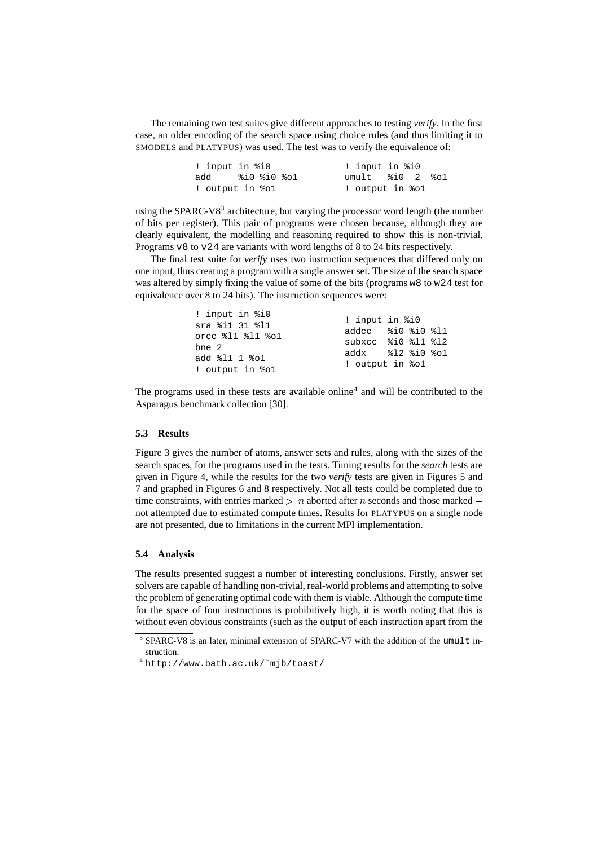The remaining two test suites give different approaches to testing *verify*. In the first case, an older encoding of the search space using choice rules (and thus limiting it to SMODELS and PLATYPUS) was used. The test was to verify the equivalence of:

| ! input in %i0  |  |  | ! input in %i0  |  |  |
|-----------------|--|--|-----------------|--|--|
|                 |  |  | umult %i0 2 %o1 |  |  |
| ! output in %o1 |  |  | ! output in %o1 |  |  |

using the SPARC-V8 $3$  architecture, but varying the processor word length (the number of bits per register). This pair of programs were chosen because, although they are clearly equivalent, the modelling and reasoning required to show this is non-trivial. Programs v8 to v24 are variants with word lengths of 8 to 24 bits respectively.

The final test suite for *verify* uses two instruction sequences that differed only on one input, thus creating a program with a single answer set. The size of the search space was altered by simply fixing the value of some of the bits (programs w8 to w24 test for equivalence over 8 to 24 bits). The instruction sequences were:

| ! input in %i0                     | ! input in %i0            |  |  |
|------------------------------------|---------------------------|--|--|
| sra %il 31 %ll<br>orcc %11 %11 %01 | $addcc$ $%10$ $%10$ $%11$ |  |  |
| bne 2                              | $subxcc$ $%11$ $%12$      |  |  |
| add %11 1 %o1                      | addx %12 %10 %01          |  |  |
| ! output in %o1                    | ! output in %o1           |  |  |

The programs used in these tests are available online<sup>4</sup> and will be contributed to the Asparagus benchmark collection [30].

### **5.3 Results**

Figure 3 gives the number of atoms, answer sets and rules, along with the sizes of the search spaces, for the programs used in the tests. Timing results for the *search* tests are given in Figure 4, while the results for the two *verify* tests are given in Figures 5 and 7 and graphed in Figures 6 and 8 respectively. Not all tests could be completed due to time constraints, with entries marked  $>$  n aborted after n seconds and those marked  $$ not attempted due to estimated compute times. Results for PLATYPUS on a single node are not presented, due to limitations in the current MPI implementation.

#### **5.4 Analysis**

The results presented suggest a number of interesting conclusions. Firstly, answer set solvers are capable of handling non-trivial, real-world problems and attempting to solve the problem of generating optimal code with them is viable. Although the compute time for the space of four instructions is prohibitively high, it is worth noting that this is without even obvious constraints (such as the output of each instruction apart from the

 $3$  SPARC-V8 is an later, minimal extension of SPARC-V7 with the addition of the umult instruction.

<sup>4</sup> http://www.bath.ac.uk/˜mjb/toast/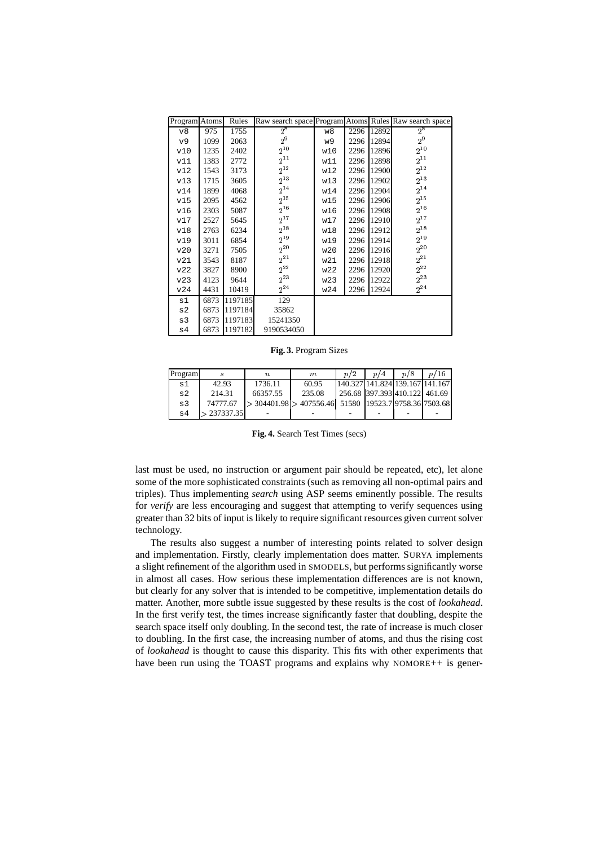| Program Atoms |      | Rules   |                |     |      |       | Raw search space Program Atoms Rules Raw search space |
|---------------|------|---------|----------------|-----|------|-------|-------------------------------------------------------|
| v8            | 975  | 1755    | $2^8$          | w8  | 2296 | 12892 | $2^8$                                                 |
| v9            | 1099 | 2063    | 2 <sup>9</sup> | w9  | 2296 | 12894 | 2 <sup>9</sup>                                        |
| v10           | 1235 | 2402    | $2^{10}$       | w10 | 2296 | 12896 | $2^{10}$                                              |
| v11           | 1383 | 2772    | $2^{11}$       | w11 | 2296 | 12898 | $2^{11}$                                              |
| v12           | 1543 | 3173    | $2^{12}$       | w12 | 2296 | 12900 | $2^{12}$                                              |
| v13           | 1715 | 3605    | $2^{13}$       | w13 | 2296 | 12902 | $2^{13}$                                              |
| v14           | 1899 | 4068    | $2^{14}$       | w14 | 2296 | 12904 | $2^{14}$                                              |
| v15           | 2095 | 4562    | $2^{15}$       | w15 | 2296 | 12906 | $2^{15}$                                              |
| v16           | 2303 | 5087    | $2^{16}$       | w16 | 2296 | 12908 | $2^{16}$                                              |
| v17           | 2527 | 5645    | $2^{17}$       | w17 | 2296 | 12910 | $2^{17}$                                              |
| v18           | 2763 | 6234    | $2^{18}$       | w18 | 2296 | 12912 | $2^{18}$                                              |
| v19           | 3011 | 6854    | $2^{19}$       | w19 | 2296 | 12914 | $2^{19}$                                              |
| v20           | 3271 | 7505    | $2^{20}$       | w20 | 2296 | 12916 | $2^{20}$                                              |
| v21           | 3543 | 8187    | $2^{21}$       | w21 | 2296 | 12918 | $2^{21}$                                              |
| v22           | 3827 | 8900    | $2^{22}$       | w22 | 2296 | 12920 | $2^{22}$                                              |
| v23           | 4123 | 9644    | $2^{23}$       | w23 | 2296 | 12922 | $2^{23}$                                              |
| v24           | 4431 | 10419   | $2^{24}$       | w24 | 2296 | 12924 | 2 <sup>24</sup>                                       |
| s1            | 6873 | 1197185 | 129            |     |      |       |                                                       |
| s2            | 6873 | 1197184 | 35862          |     |      |       |                                                       |
| s3            | 6873 | 1197183 | 15241350       |     |      |       |                                                       |
| s4            | 6873 | 1197182 | 9190534050     |     |      |       |                                                       |

**Fig. 3.** Program Sizes

| Program | -S          | u                                                            | $_{m}$ | p/2 | p/4 | p/8                           | p/16                            |
|---------|-------------|--------------------------------------------------------------|--------|-----|-----|-------------------------------|---------------------------------|
| s1      | 42.93       | 1736.11                                                      | 60.95  |     |     |                               | 140.327 141.824 139.167 141.167 |
| s2      | 214.31      | 66357.55                                                     | 235.08 |     |     | 256.68 397.393 410.122 461.69 |                                 |
| s3      | 74777.67    | > 304401.98 > 407556.46  51580   19523.7   9758.36   7503.68 |        |     |     |                               |                                 |
| s4      | > 237337.35 |                                                              |        | -   | -   |                               | -                               |

**Fig. 4.** Search Test Times (secs)

last must be used, no instruction or argument pair should be repeated, etc), let alone some of the more sophisticated constraints (such as removing all non-optimal pairs and triples). Thus implementing *search* using ASP seems eminently possible. The results for *verify* are less encouraging and suggest that attempting to verify sequences using greater than 32 bits of input is likely to require significant resources given currentsolver technology.

The results also suggest a number of interesting points related to solver design and implementation. Firstly, clearly implementation does matter. SURYA implements a slight refinement of the algorithm used in SMODELS, but performs significantly worse in almost all cases. How serious these implementation differences are is not known, but clearly for any solver that is intended to be competitive, implementation details do matter. Another, more subtle issue suggested by these results is the cost of *lookahead*. In the first verify test, the times increase significantly faster that doubling, despite the search space itself only doubling. In the second test, the rate of increase is much closer to doubling. In the first case, the increasing number of atoms, and thus the rising cost of *lookahead* is thought to cause this disparity. This fits with other experiments that have been run using the TOAST programs and explains why NOMORE++ is gener-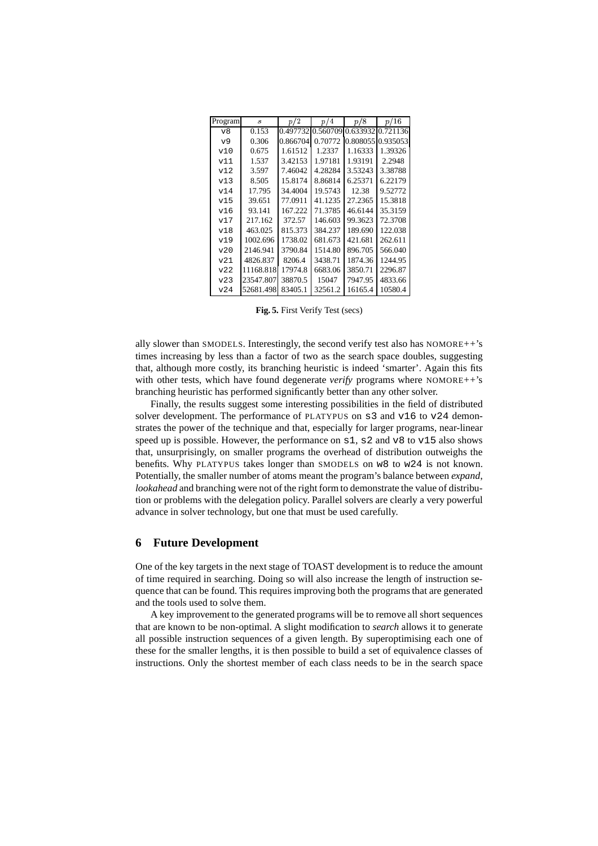| Program | $\mathcal{S}_{\mathcal{S}}$ | p/2      | p/4     | p/8               | p/16     |
|---------|-----------------------------|----------|---------|-------------------|----------|
| v8      | 0.153                       | 0.497732 |         | 0.56070910.633932 | 0.721136 |
| v9      | 0.306                       | 0.866704 | 0.70772 | 0.80805510.935053 |          |
| v10     | 0.675                       | 1.61512  | 1.2337  | 1.16333           | 1.39326  |
| v11     | 1.537                       | 3.42153  | 1.97181 | 1.93191           | 2.2948   |
| v12     | 3.597                       | 7.46042  | 4.28284 | 3.53243           | 3.38788  |
| v13     | 8.505                       | 15.8174  | 8.86814 | 6.25371           | 6.22179  |
| v14     | 17.795                      | 34.4004  | 19.5743 | 12.38             | 9.52772  |
| v15     | 39.651                      | 77.0911  | 41.1235 | 27.2365           | 15.3818  |
| v16     | 93.141                      | 167.222  | 71.3785 | 46.6144           | 35.3159  |
| v17     | 217.162                     | 372.57   | 146.603 | 99.3623           | 72.3708  |
| v18     | 463.025                     | 815.373  | 384.237 | 189.690           | 122.038  |
| v19     | 1002.696                    | 1738.02  | 681.673 | 421.681           | 262.611  |
| v20     | 2146.941                    | 3790.84  | 1514.80 | 896.705           | 566.040  |
| v21     | 4826.837                    | 8206.4   | 3438.71 | 1874.36           | 1244.95  |
| v22     | 11168.818                   | 17974.8  | 6683.06 | 3850.71           | 2296.87  |
| v23     | 23547.807                   | 38870.5  | 15047   | 7947.95           | 4833.66  |
| v24     | 52681.498                   | 83405.1  | 32561.2 | 16165.4           | 10580.4  |

**Fig. 5.** First Verify Test (secs)

ally slower than SMODELS. Interestingly, the second verify test also has  $NOMORE++S$ times increasing by less than a factor of two as the search space doubles, suggesting that, although more costly, its branching heuristic is indeed 'smarter'. Again this fits with other tests, which have found degenerate *verify* programs where NOMORE++'s branching heuristic has performed significantly better than any other solver.

Finally, the results suggest some interesting possibilities in the field of distributed solver development. The performance of PLATYPUS on  $s3$  and  $v16$  to  $v24$  demonstrates the power of the technique and that, especially for larger programs, near-linear speed up is possible. However, the performance on  $s1$ ,  $s2$  and  $v8$  to  $v15$  also shows that, unsurprisingly, on smaller programs the overhead of distribution outweighs the benefits. Why PLATYPUS takes longer than SMODELS on w8 to w24 is not known. Potentially, the smaller number of atoms meant the program's balance between *expand*, *lookahead* and branching were not of the right form to demonstrate the value of distribution or problems with the delegation policy. Parallel solvers are clearly a very powerful advance in solver technology, but one that must be used carefully.

## **6 Future Development**

One of the key targets in the next stage of TOAST development is to reduce the amount of time required in searching. Doing so will also increase the length of instruction sequence that can be found. This requires improving both the programs that are generated and the tools used to solve them.

A key improvement to the generated programs will be to remove all short sequences that are known to be non-optimal. A slight modification to *search* allows it to generate all possible instruction sequences of a given length. By superoptimising each one of these for the smaller lengths, it is then possible to build a set of equivalence classes of instructions. Only the shortest member of each class needs to be in the search space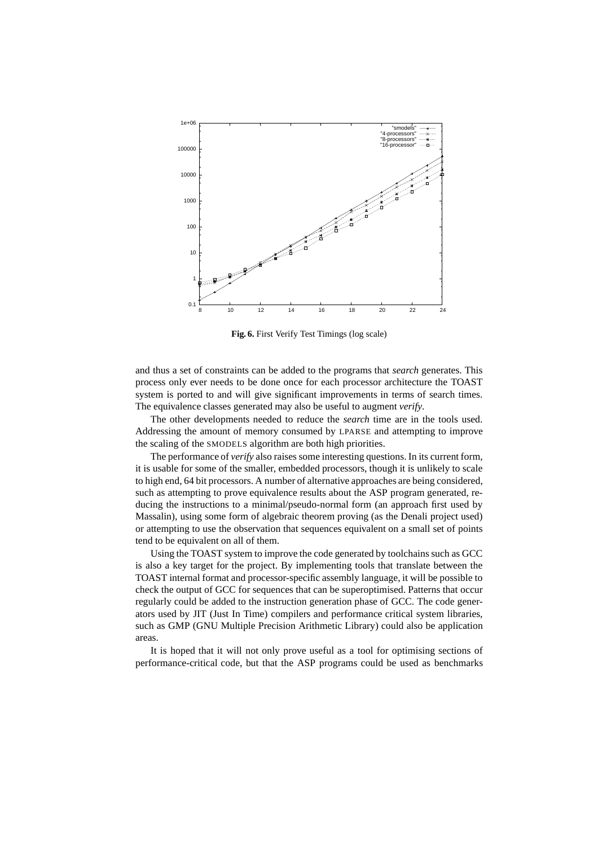

**Fig. 6.** First Verify Test Timings (log scale)

and thus a set of constraints can be added to the programs that *search* generates. This process only ever needs to be done once for each processor architecture the TOAST system is ported to and will give significant improvements in terms of search times. The equivalence classes generated may also be useful to augment *verify*.

The other developments needed to reduce the *search* time are in the tools used. Addressing the amount of memory consumed by LPARSE and attempting to improve the scaling of the SMODELS algorithm are both high priorities.

The performance of *verify* also raises some interesting questions. In its current form, it is usable for some of the smaller, embedded processors, though it is unlikely to scale to high end, 64 bit processors. A number of alternative approaches are being considered, such as attempting to prove equivalence results about the ASP program generated, reducing the instructions to a minimal/pseudo-normal form (an approach first used by Massalin), using some form of algebraic theorem proving (as the Denali project used) or attempting to use the observation that sequences equivalent on a small set of points tend to be equivalent on all of them.

Using the TOAST system to improve the code generated by toolchains such as GCC is also a key target for the project. By implementing tools that translate between the TOAST internal format and processor-specific assembly language, it will be possible to check the output of GCC for sequences that can be superoptimised. Patterns that occur regularly could be added to the instruction generation phase of GCC. The code generators used by JIT (Just In Time) compilers and performance critical system libraries, such as GMP (GNU Multiple Precision Arithmetic Library) could also be application areas.

It is hoped that it will not only prove useful as a tool for optimising sections of performance-critical code, but that the ASP programs could be used as benchmarks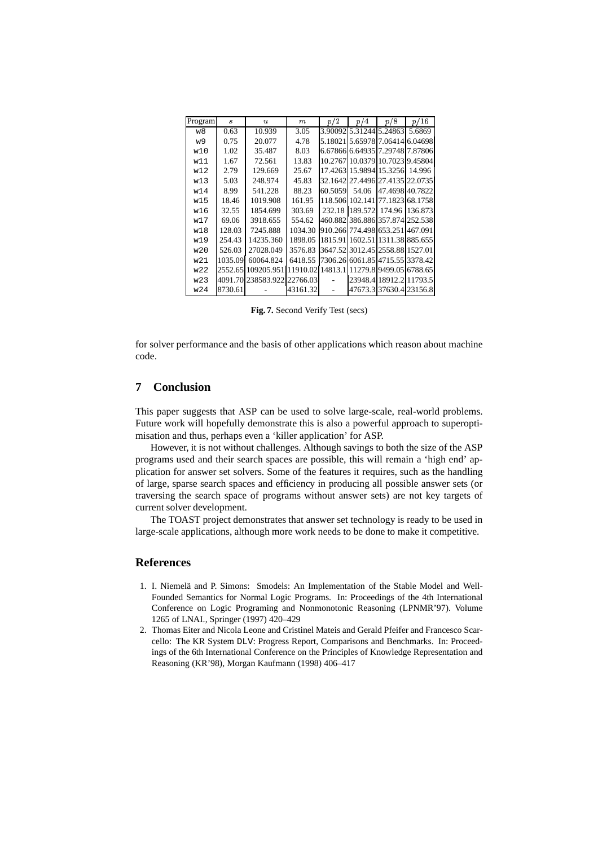| Program | $\boldsymbol{s}$ | $\boldsymbol{u}$                                            | m        | p/2                              | p/4                             | p/8 | p/16                            |  |
|---------|------------------|-------------------------------------------------------------|----------|----------------------------------|---------------------------------|-----|---------------------------------|--|
| w8      | 0.63             | 10.939                                                      | 3.05     |                                  | 3.90092 5.31244 5.24863         |     | 5.6869                          |  |
| w9      | 0.75             | 20.077                                                      | 4.78     |                                  | 5.18021 5.65978 7.06414 6.04698 |     |                                 |  |
| w10     | 1.02             | 35.487                                                      | 8.03     |                                  |                                 |     | 6.6786616.6493517.2974817.87806 |  |
| w11     | 1.67             | 72.561                                                      | 13.83    |                                  | 10.2767 10.0379 10.7023 9.45804 |     |                                 |  |
| w12     | 2.79             | 129.669                                                     | 25.67    |                                  | 17.4263 15.9894 15.3256 14.996  |     |                                 |  |
| w13     | 5.03             | 248.974                                                     | 45.83    |                                  | 32.1642 27.4496 27.4135 22.0735 |     |                                 |  |
| w14     | 8.99             | 541.228                                                     | 88.23    | 60.5059                          | 54.06                           |     | 47.4698 40.7822                 |  |
| w15     | 18.46            | 1019.908                                                    | 161.95   |                                  | 118.506 102.141 77.1823 68.1758 |     |                                 |  |
| w16     | 32.55            | 1854.699                                                    | 303.69   | 232.18                           | 189.572 174.96                  |     | 136.873                         |  |
| w17     | 69.06            | 3918.655                                                    | 554.62   |                                  | 460.882 386.886 357.874 252.538 |     |                                 |  |
| w18     | 128.03           | 7245.888                                                    | 1034.30  | 910.266 774.498 653.251 467.091  |                                 |     |                                 |  |
| w19     | 254.43           | 14235.360                                                   | 1898.05  | 1815.9111602.5111311.381885.655  |                                 |     |                                 |  |
| w20     | 526.03           | 27028.049                                                   | 3576.83  | 3647.52 3012.45 2558.88 1527.01  |                                 |     |                                 |  |
| w21     | 1035.09          | 60064.824                                                   | 6418.55  | 17306.2616061.8514715.5513378.42 |                                 |     |                                 |  |
| w22     |                  | 2552.65 109205.951 11910.02 14813.1 11279.8 9499.05 6788.65 |          |                                  |                                 |     |                                 |  |
| w23     |                  | 4091.70 238583.922 22766.03                                 |          |                                  |                                 |     | 23948.4 18912.2 11793.5         |  |
| w24     | 8730.61          |                                                             | 43161.32 |                                  |                                 |     | 47673.3 37630.4 23156.8         |  |

**Fig. 7.** Second Verify Test (secs)

for solver performance and the basis of other applications which reason about machine code.

# **7 Conclusion**

This paper suggests that ASP can be used to solve large-scale, real-world problems. Future work will hopefully demonstrate this is also a powerful approach to superoptimisation and thus, perhaps even a 'killer application' for ASP.

However, it is not without challenges. Although savings to both the size of the ASP programs used and their search spaces are possible, this will remain a 'high end' application for answer set solvers. Some of the features it requires, such as the handling of large, sparse search spaces and efficiency in producing all possible answer sets (or traversing the search space of programs without answer sets) are not key targets of current solver development.

The TOAST project demonstrates that answer set technology is ready to be used in large-scale applications, although more work needs to be done to make it competitive.

### **References**

- 1. I. Niemelä and P. Simons: Smodels: An Implementation of the Stable Model and Well-Founded Semantics for Normal Logic Programs. In: Proceedings of the 4th International Conference on Logic Programing and Nonmonotonic Reasoning (LPNMR'97). Volume 1265 of LNAI., Springer (1997) 420–429
- 2. Thomas Eiter and Nicola Leone and Cristinel Mateis and Gerald Pfeifer and Francesco Scarcello: The KR System DLV: Progress Report, Comparisons and Benchmarks. In: Proceedings of the 6th International Conference on the Principles of Knowledge Representation and Reasoning (KR'98), Morgan Kaufmann (1998) 406–417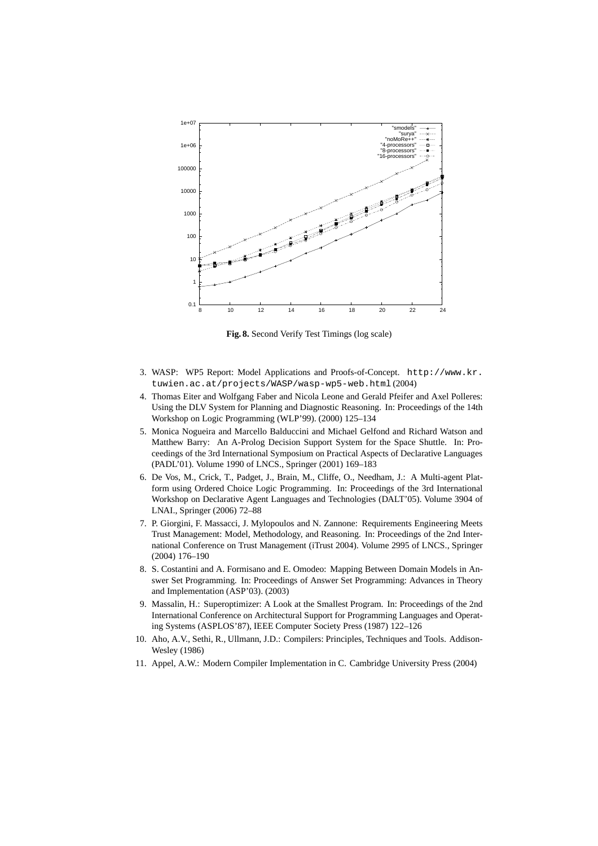

**Fig. 8.** Second Verify Test Timings (log scale)

- 3. WASP: WP5 Report: Model Applications and Proofs-of-Concept. http://www.kr. tuwien.ac.at/projects/WASP/wasp-wp5-web.html (2004)
- 4. Thomas Eiter and Wolfgang Faber and Nicola Leone and Gerald Pfeifer and Axel Polleres: Using the DLV System for Planning and Diagnostic Reasoning. In: Proceedings of the 14th Workshop on Logic Programming (WLP'99). (2000) 125–134
- 5. Monica Nogueira and Marcello Balduccini and Michael Gelfond and Richard Watson and Matthew Barry: An A-Prolog Decision Support System for the Space Shuttle. In: Proceedings of the 3rd International Symposium on Practical Aspects of Declarative Languages (PADL'01). Volume 1990 of LNCS., Springer (2001) 169–183
- 6. De Vos, M., Crick, T., Padget, J., Brain, M., Cliffe, O., Needham, J.: A Multi-agent Platform using Ordered Choice Logic Programming. In: Proceedings of the 3rd International Workshop on Declarative Agent Languages and Technologies (DALT'05). Volume 3904 of LNAI., Springer (2006) 72–88
- 7. P. Giorgini, F. Massacci, J. Mylopoulos and N. Zannone: Requirements Engineering Meets Trust Management: Model, Methodology, and Reasoning. In: Proceedings of the 2nd International Conference on Trust Management (iTrust 2004). Volume 2995 of LNCS., Springer (2004) 176–190
- 8. S. Costantini and A. Formisano and E. Omodeo: Mapping Between Domain Models in Answer Set Programming. In: Proceedings of Answer Set Programming: Advances in Theory and Implementation (ASP'03). (2003)
- 9. Massalin, H.: Superoptimizer: A Look at the Smallest Program. In: Proceedings of the 2nd International Conference on Architectural Support for Programming Languages and Operating Systems (ASPLOS'87), IEEE Computer Society Press (1987) 122–126
- 10. Aho, A.V., Sethi, R., Ullmann, J.D.: Compilers: Principles, Techniques and Tools. Addison-Wesley (1986)
- 11. Appel, A.W.: Modern Compiler Implementation in C. Cambridge University Press (2004)